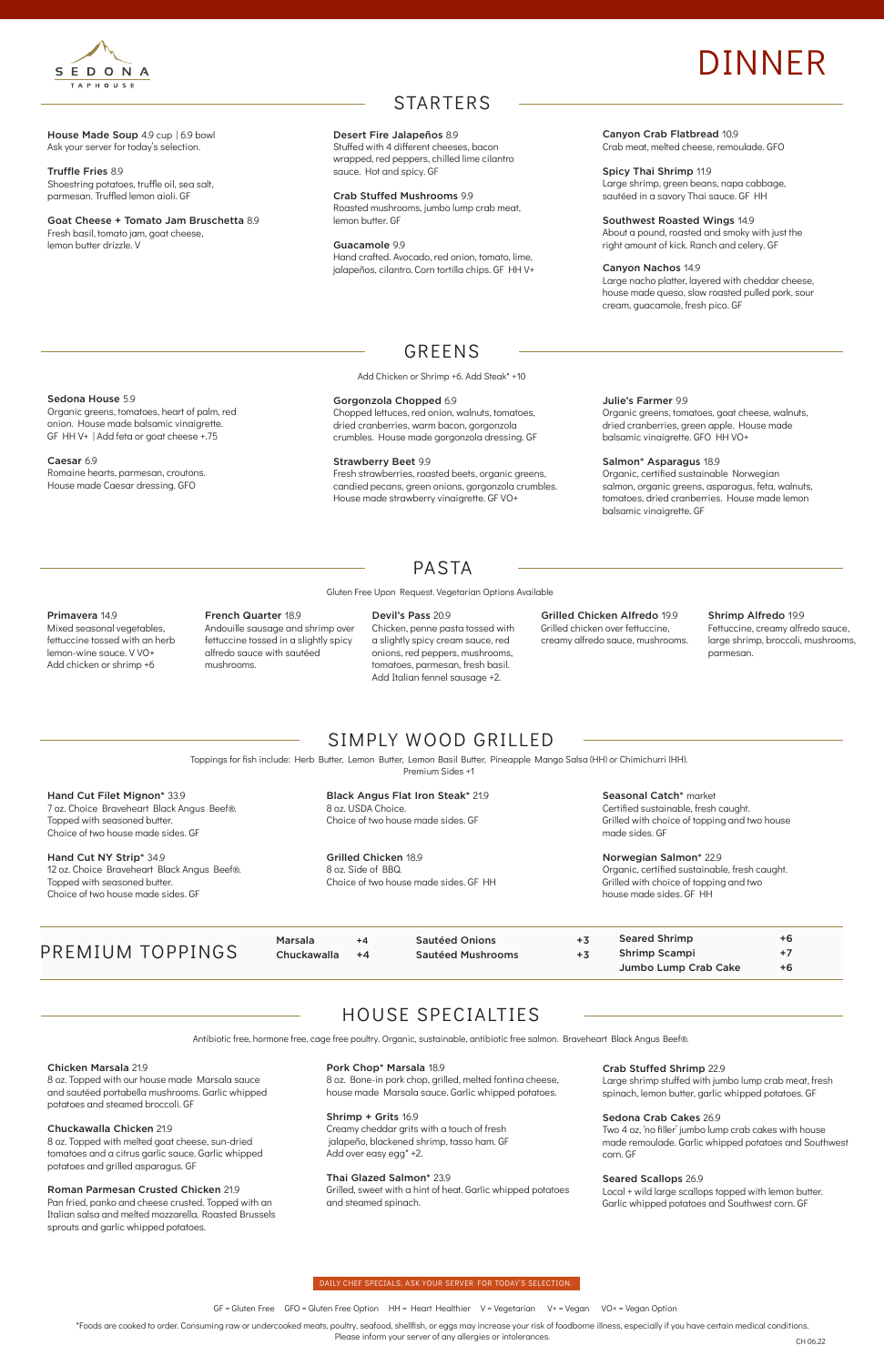House Made Soup 4.9 cup | 6.9 bowl Ask your server for today's selection.

#### Truffle Fries 8.9

Shoestring potatoes, truffle oil, sea salt, parmesan. Truffled lemon aioli. GF

Goat Cheese + Tomato Jam Bruschetta 8.9 Fresh basil, tomato jam, goat cheese, lemon butter drizzle. V

### GREENS

Add Chicken or Shrimp +6. Add Steak\* +10

#### Canyon Crab Flatbread 10.9

Crab meat, melted cheese, remoulade. GFO

Spicy Thai Shrimp 11.9 Large shrimp, green beans, napa cabbage, sautéed in a savory Thai sauce. GF HH

#### Southwest Roasted Wings 14.9

About a pound, roasted and smoky with just the right amount of kick. Ranch and celery. GF

#### Canyon Nachos 14.9

Large nacho platter, layered with cheddar cheese, house made queso, slow roasted pulled pork, sour cream, guacamole, fresh pico. GF

Sedona House 5.9

Organic greens, tomatoes, heart of palm, red onion. House made balsamic vinaigrette. GF HH V+ | Add feta or goat cheese +.75

Caesar 6.9

Romaine hearts, parmesan, croutons. House made Caesar dressing. GFO

#### Julie's Farmer 9.9

Organic greens, tomatoes, goat cheese, walnuts, dried cranberries, green apple. House made balsamic vinaigrette. GFO HH VO+

#### Salmon\* Asparagus 18.9

Organic, certified sustainable Norwegian salmon, organic greens, asparagus, feta, walnuts, tomatoes, dried cranberries. House made lemon balsamic vinaigrette. GF

Seasonal Catch\* market Certified sustainable, fresh caught. Grilled with choice of topping and two house made sides. GF

### STARTERS

#### Desert Fire Jalapeños 8.9

Stuffed with 4 different cheeses, bacon wrapped, red peppers, chilled lime cilantro sauce. Hot and spicy. GF

#### Crab Stuffed Mushrooms 9.9

Roasted mushrooms, jumbo lump crab meat, lemon butter. GF

Guacamole 9.9 Hand crafted. Avocado, red onion, tomato, lime, jalapeños, cilantro. Corn tortilla chips. GF HH V+

#### Gorgonzola Chopped 6.9

Chopped lettuces, red onion, walnuts, tomatoes, dried cranberries, warm bacon, gorgonzola crumbles. House made gorgonzola dressing. GF

#### Strawberry Beet 9.9

Fresh strawberries, roasted beets, organic greens, candied pecans, green onions, gorgonzola crumbles. House made strawberry vinaigrette. GF VO+

### SIMPLY WOOD GRILLED

Hand Cut Filet Mignon\* 33.9 7 oz. Choice Braveheart Black Angus Beef®. Topped with seasoned butter. Choice of two house made sides. GF

Hand Cut NY Strip\* 34.9 12 oz. Choice Braveheart Black Angus Beef®. Topped with seasoned butter. Choice of two house made sides. GF

Black Angus Flat Iron Steak\* 21.9 8 oz. USDA Choice. Choice of two house made sides. GF

Grilled Chicken 18.9 8 oz. Side of BBQ. Choice of two house made sides. GF HH

Norwegian Salmon\* 22.9 Organic, certified sustainable, fresh caught. Grilled with choice of topping and two house made sides. GF HH

Toppings for fish include: Herb Butter, Lemon Butter, Lemon Basil Butter, Pineapple Mango Salsa (HH) or Chimichurri (HH). Premium Sides +1

PASTA

Gluten Free Upon Request. Vegetarian Options Available

### Primavera 14.9

Mixed seasonal vegetables, fettuccine tossed with an herb lemon-wine sauce. V VO+ Add chicken or shrimp +6

Grilled Chicken Alfredo 19.9 Grilled chicken over fettuccine, creamy alfredo sauce, mushrooms.

PREMIUM TOPPINGS

Marsala +4 Chuckawalla +4 Sautéed Onions +3 Sautéed Mushrooms +3

Seared Shrimp  $+6$ Shrimp Scampi +7 Jumbo Lump Crab Cake  $+6$ 

#### French Quarter 18.9

Andouille sausage and shrimp over fettuccine tossed in a slightly spicy alfredo sauce with sautéed mushrooms.

#### Devil's Pass 20.9

Chicken, penne pasta tossed with a slightly spicy cream sauce, red onions, red peppers, mushrooms, tomatoes, parmesan, fresh basil. Add Italian fennel sausage +2.

\*Foods are cooked to order. Consuming raw or undercooked meats, poultry, seafood, shellfish, or eggs may increase your risk of foodborne illness, especially if you have certain medical conditions. Please inform your server of any allergies or intolerances.

GF = Gluten Free GFO = Gluten Free Option HH = Heart Healthier V = Vegetarian V+ = Vegan VO+ = Vegan Option

### HOUSE SPECIALTIES

#### Chicken Marsala 21.9

8 oz. Topped with our house made Marsala sauce and sautéed portabella mushrooms. Garlic whipped potatoes and steamed broccoli. GF

#### Chuckawalla Chicken 21.9

8 oz. Topped with melted goat cheese, sun-dried tomatoes and a citrus garlic sauce. Garlic whipped potatoes and grilled asparagus. GF

#### Roman Parmesan Crusted Chicken 21.9

Pan fried, panko and cheese crusted. Topped with an Italian salsa and melted mozzarella. Roasted Brussels sprouts and garlic whipped potatoes.

#### Pork Chop\* Marsala 18.9

8 oz. Bone-in pork chop, grilled, melted fontina cheese, house made Marsala sauce. Garlic whipped potatoes.

#### Shrimp + Grits 16.9

Creamy cheddar grits with a touch of fresh jalapeño, blackened shrimp, tasso ham. GF Add over easy egg\* +2.

#### Thai Glazed Salmon\* 23.9

Grilled, sweet with a hint of heat. Garlic whipped potatoes and steamed spinach.

#### Crab Stuffed Shrimp 22.9

Large shrimp stuffed with jumbo lump crab meat, fresh spinach, lemon butter, garlic whipped potatoes. GF

#### Sedona Crab Cakes 26.9

Two 4 oz, 'no filler' jumbo lump crab cakes with house made remoulade. Garlic whipped potatoes and Southwest corn. GF

#### Seared Scallops 26.9

Local + wild large scallops topped with lemon butter. Garlic whipped potatoes and Southwest corn. GF

Antibiotic free, hormone free, cage free poultry. Organic, sustainable, antibiotic free salmon. Braveheart Black Angus Beef®.



# DINNER

#### DAILY CHEF SPECIALS, ASK YOUR SERVER FOR TODAY'S SELECTION.

#### Shrimp Alfredo 19.9 Fettuccine, creamy alfredo sauce, large shrimp, broccoli, mushrooms, parmesan.